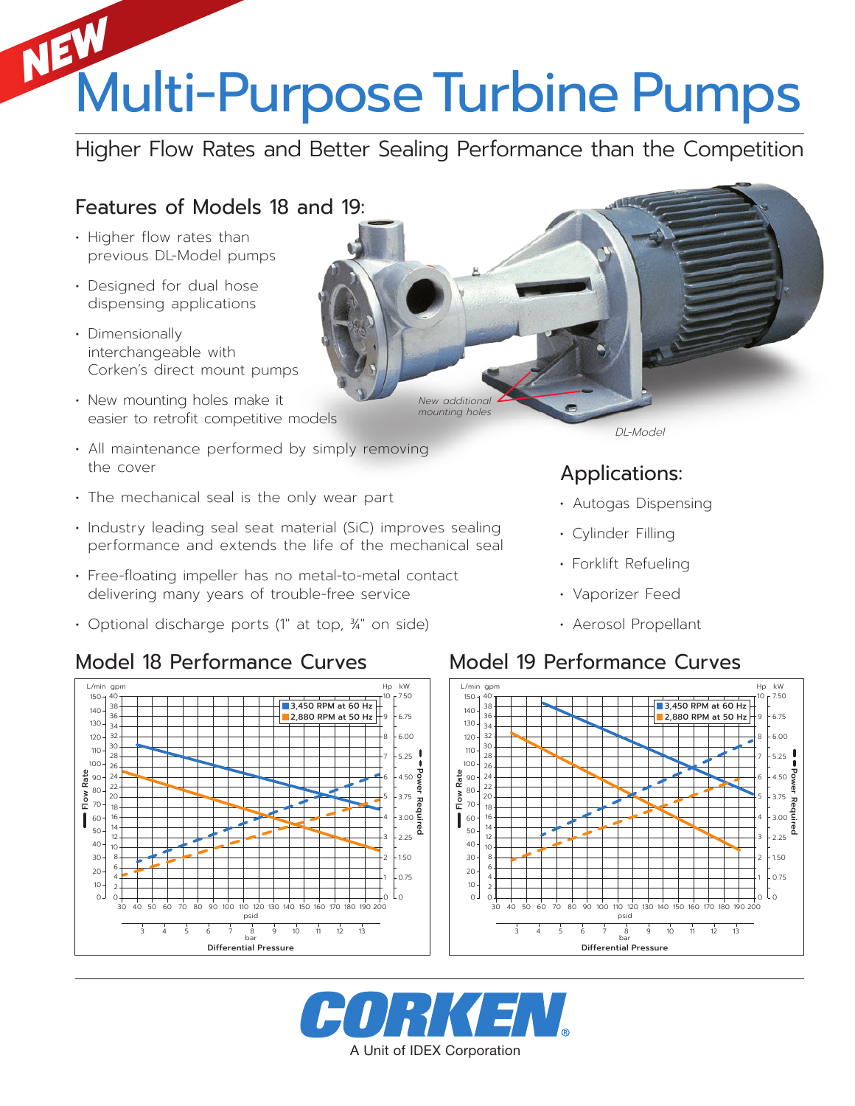# Multi-Purpose Turbine Pumps *NEW*

Higher Flow Rates and Better Sealing Performance than the Competition

## Features of Models 18 and 19:

- Higher flow rates than previous DL-Model pumps
- Designed for dual hose dispensing applications
- Dimensionally interchangeable with Corken's direct mount pumps
- New mounting holes make it easier to retrofit competitive models
- All maintenance performed by simply removing the cover
- The mechanical seal is the only wear part
- Industry leading seal seat material (SiC) improves sealing performance and extends the life of the mechanical seal
- Free-floating impeller has no metal-to-metal contact delivering many years of trouble-free service
- Optional discharge ports (1" at top, 3/4" on side)

### Model 18 Performance Curves Model 19 Performance Curves



*New additional mounting holes*

Applications:

- Autogas Dispensing
- Forklift Refueling
- Vaporizer Feed
- Aerosol Propellant





*DL-Model*

- - Cylinder Filling
	-
	-
	-